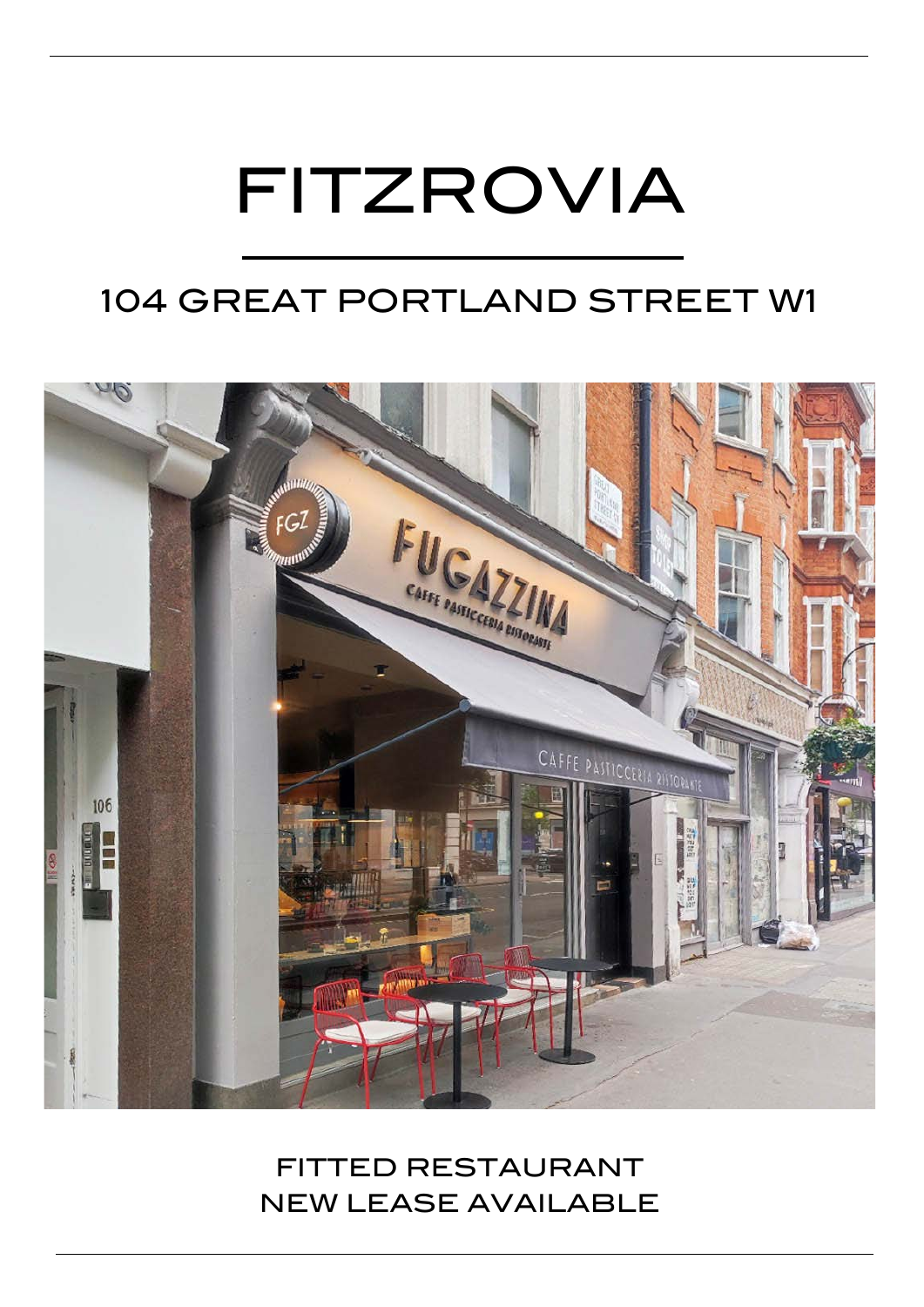# FITZROVIA

## 104 GREAT PORTLAND STREET W1



FITTED RESTAURANT NEW LEASE AVAILABLE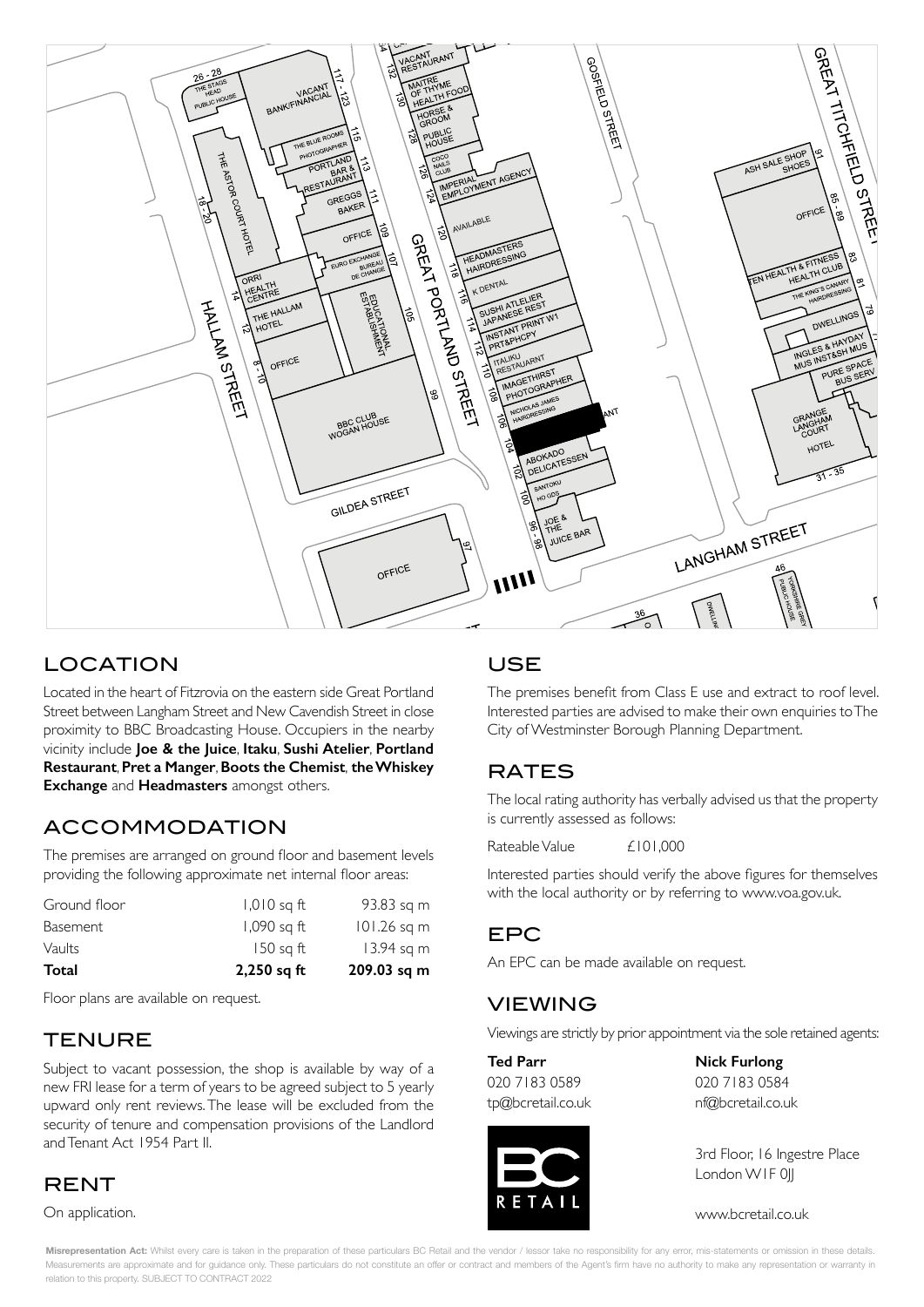

### LOCATION

Located in the heart of Fitzrovia on the eastern side Great Portland Street between Langham Street and New Cavendish Street in close proximity to BBC Broadcasting House. Occupiers in the nearby vicinity include **Joe & the Juice**, **Itaku**, **Sushi Atelier**, **Portland Restaurant**, **Pret a Manger**, **Boots the Chemist**, **the Whiskey Exchange** and **Headmasters** amongst others.

#### ACCOMMODATION

The premises are arranged on ground floor and basement levels providing the following approximate net internal floor areas:

| Total        | $2,250$ sq ft | 209.03 sq m   |
|--------------|---------------|---------------|
| Vaults       | $150$ sq ft   | 13.94 sq m    |
| Basement     | 1,090 sq ft   | $101.26$ sq m |
| Ground floor | $1,010$ sq ft | 93.83 sq m    |

Floor plans are available on request.

#### copyright and database rights 2020. OS 100019885 **TENURE**

Subject to vacant possession, the shop is available by way of a new FRI lease for a term of years to be agreed subject to 5 yearly upward only rent reviews. The lease will be excluded from the security of tenure and compensation provisions of the Landlord and Tenant Act 1954 Part II.

#### **RENT**

On application.

#### USE

The premises benefit from Class E use and extract to roof level. Interested parties are advised to make their own enquiries to The City of Westminster Borough Planning Department.

#### RATES

The local rating authority has verbally advised us that the property is currently assessed as follows:

Rateable Value  $f101,000$ 

Interested parties should verify the above figures for themselves with the local authority or by referring to www.voa.gov.uk.

#### EPC

Experian Goad Plan Created: 09/06/2021 An EPC can be made available on request.

#### VIEWING

Viewings are strictly by prior appointment via the sole retained agents:

020 7183 0589 020 7183 0584 tp@bcretail.co.uk nf@bcretail.co.uk



**Ted Parr Nick Furlong**

3rd Floor, 16 Ingestre Place London WIF 0||

www.bcretail.co.uk

Misrepresentation Act: Whilst every care is taken in the preparation of these particulars BC Retail and the vendor / lessor take no responsibility for any error, mis-statements or omission in these details. Measurements are approximate and for guidance only. These particulars do not constitute an offer or contract and members of the Agent's firm have no authority to make any representation or warranty in relation to this property. SUBJECT TO CONTRACT 2022